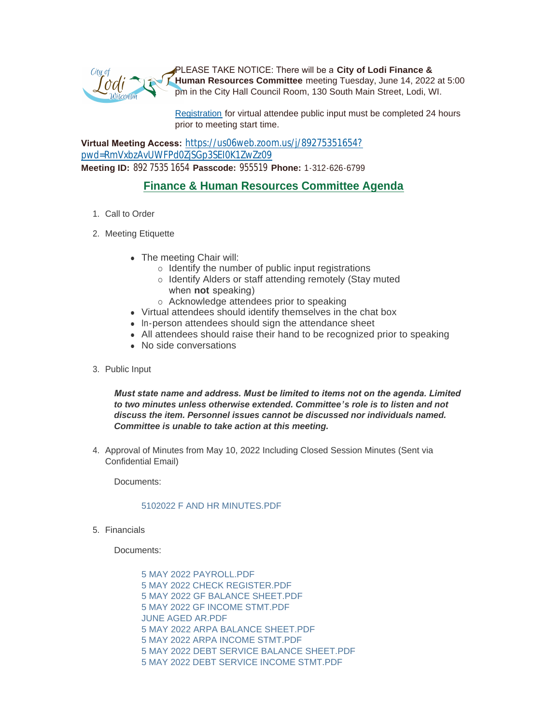

PLEASE TAKE NOTICE: There will be a **City of Lodi Finance & Human Resources Committee** meeting Tuesday, June 14, 2022 at 5:00 pm in the City Hall Council Room, 130 South Main Street, Lodi, WI.

[Registration](https://www.cityoflodi.us/CivicAlerts.aspx?AID=467) for virtual attendee public input must be completed 24 hours prior to meeting start time.

**Virtual Meeting Access:** [https://us06web.zoom.us/j/89275351654?](https://us06web.zoom.us/j/89275351654?pwd=RmVxbzAvUWFPd0ZjSGp3SEI0K1ZwZz09) pwd=RmVxbzAvUWFPd0ZjSGp3SEI0K1ZwZz09 **Meeting ID:** 892 7535 1654 **Passcode:** 955519 **Phone:** 1-312-626-6799

# **Finance & Human Resources Committee Agenda**

- 1. Call to Order
- 2. Meeting Etiquette
	- The meeting Chair will:
		- $\circ$  Identify the number of public input registrations
		- o Identify Alders or staff attending remotely (Stay muted when **not** speaking)
		- o Acknowledge attendees prior to speaking
	- Virtual attendees should identify themselves in the chat box
	- In-person attendees should sign the attendance sheet
	- All attendees should raise their hand to be recognized prior to speaking
	- No side conversations
- 3. Public Input

*Must state name and address. Must be limited to items not on the agenda. Limited to two minutes unless otherwise extended. Committee's role is to listen and not discuss the item. Personnel issues cannot be discussed nor individuals named. Committee is unable to take action at this meeting.*

4. Approval of Minutes from May 10, 2022 Including Closed Session Minutes (Sent via Confidential Email)

Documents:

## [5102022 F AND HR MINUTES.PDF](http://www.cityoflodi.us/AgendaCenter/ViewFile/Item/15229?fileID=12110)

5. Financials

Documents:

[5 MAY 2022 PAYROLL.PDF](http://www.cityoflodi.us/AgendaCenter/ViewFile/Item/15230?fileID=12111) [5 MAY 2022 CHECK REGISTER.PDF](http://www.cityoflodi.us/AgendaCenter/ViewFile/Item/15230?fileID=12112) [5 MAY 2022 GF BALANCE SHEET.PDF](http://www.cityoflodi.us/AgendaCenter/ViewFile/Item/15230?fileID=12113) [5 MAY 2022 GF INCOME STMT.PDF](http://www.cityoflodi.us/AgendaCenter/ViewFile/Item/15230?fileID=12114) [JUNE AGED AR.PDF](http://www.cityoflodi.us/AgendaCenter/ViewFile/Item/15230?fileID=12115) [5 MAY 2022 ARPA BALANCE SHEET.PDF](http://www.cityoflodi.us/AgendaCenter/ViewFile/Item/15230?fileID=12116) [5 MAY 2022 ARPA INCOME STMT.PDF](http://www.cityoflodi.us/AgendaCenter/ViewFile/Item/15230?fileID=12117) [5 MAY 2022 DEBT SERVICE BALANCE SHEET.PDF](http://www.cityoflodi.us/AgendaCenter/ViewFile/Item/15230?fileID=12118) 5 MAY 2022 DEBT SERVICE INCOME STMT PDF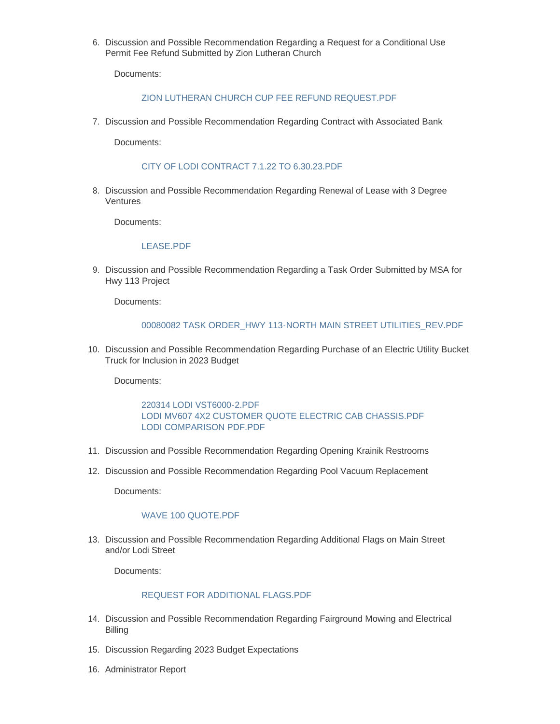6. Discussion and Possible Recommendation Regarding a Request for a Conditional Use Permit Fee Refund Submitted by Zion Lutheran Church

Documents:

## ZION LUTHERAN CHURCH CUP FEE REFUND REQUEST PDF

7. Discussion and Possible Recommendation Regarding Contract with Associated Bank

Documents:

## [CITY OF LODI CONTRACT 7.1.22 TO 6.30.23.PDF](http://www.cityoflodi.us/AgendaCenter/ViewFile/Item/15179?fileID=12121)

8. Discussion and Possible Recommendation Regarding Renewal of Lease with 3 Degree Ventures

Documents:

#### [LEASE.PDF](http://www.cityoflodi.us/AgendaCenter/ViewFile/Item/15233?fileID=12122)

9. Discussion and Possible Recommendation Regarding a Task Order Submitted by MSA for Hwy 113 Project

Documents:

#### [00080082 TASK ORDER\\_HWY 113-NORTH MAIN STREET UTILITIES\\_REV.PDF](http://www.cityoflodi.us/AgendaCenter/ViewFile/Item/15235?fileID=12123)

10. Discussion and Possible Recommendation Regarding Purchase of an Electric Utility Bucket Truck for Inclusion in 2023 Budget

Documents:

## [220314 LODI VST6000-2.PDF](http://www.cityoflodi.us/AgendaCenter/ViewFile/Item/15236?fileID=12124) [LODI MV607 4X2 CUSTOMER QUOTE ELECTRIC CAB CHASSIS.PDF](http://www.cityoflodi.us/AgendaCenter/ViewFile/Item/15236?fileID=12125) [LODI COMPARISON PDF.PDF](http://www.cityoflodi.us/AgendaCenter/ViewFile/Item/15236?fileID=12136)

- 11. Discussion and Possible Recommendation Regarding Opening Krainik Restrooms
- 12. Discussion and Possible Recommendation Regarding Pool Vacuum Replacement

Documents:

## WAVE 100 QUOTE PDF

13. Discussion and Possible Recommendation Regarding Additional Flags on Main Street and/or Lodi Street

Documents:

## [REQUEST FOR ADDITIONAL FLAGS.PDF](http://www.cityoflodi.us/AgendaCenter/ViewFile/Item/15239?fileID=12127)

- 14. Discussion and Possible Recommendation Regarding Fairground Mowing and Electrical Billing
- 15. Discussion Regarding 2023 Budget Expectations
- 16. Administrator Report